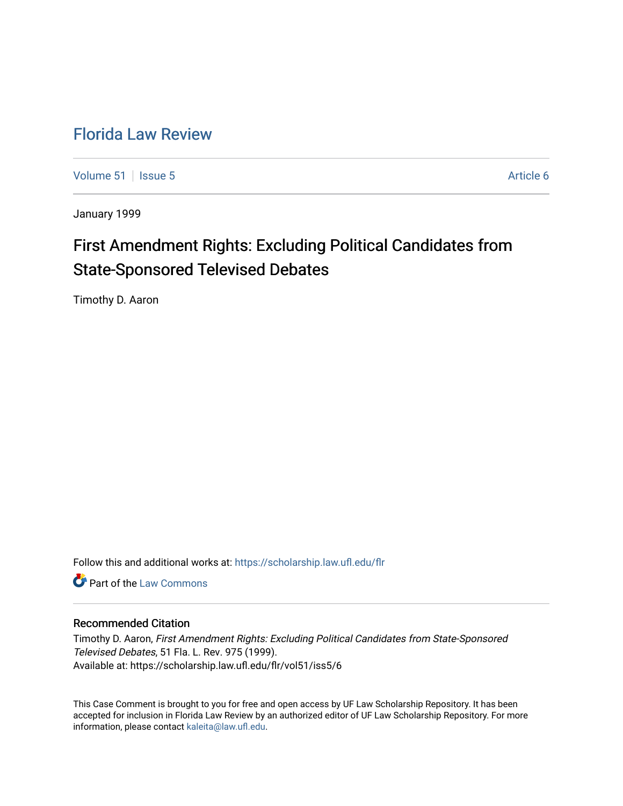## [Florida Law Review](https://scholarship.law.ufl.edu/flr)

[Volume 51](https://scholarship.law.ufl.edu/flr/vol51) | [Issue 5](https://scholarship.law.ufl.edu/flr/vol51/iss5) Article 6

January 1999

# First Amendment Rights: Excluding Political Candidates from State-Sponsored Televised Debates

Timothy D. Aaron

Follow this and additional works at: [https://scholarship.law.ufl.edu/flr](https://scholarship.law.ufl.edu/flr?utm_source=scholarship.law.ufl.edu%2Fflr%2Fvol51%2Fiss5%2F6&utm_medium=PDF&utm_campaign=PDFCoverPages)

**C** Part of the [Law Commons](http://network.bepress.com/hgg/discipline/578?utm_source=scholarship.law.ufl.edu%2Fflr%2Fvol51%2Fiss5%2F6&utm_medium=PDF&utm_campaign=PDFCoverPages)

## Recommended Citation

Timothy D. Aaron, First Amendment Rights: Excluding Political Candidates from State-Sponsored Televised Debates, 51 Fla. L. Rev. 975 (1999). Available at: https://scholarship.law.ufl.edu/flr/vol51/iss5/6

This Case Comment is brought to you for free and open access by UF Law Scholarship Repository. It has been accepted for inclusion in Florida Law Review by an authorized editor of UF Law Scholarship Repository. For more information, please contact [kaleita@law.ufl.edu.](mailto:kaleita@law.ufl.edu)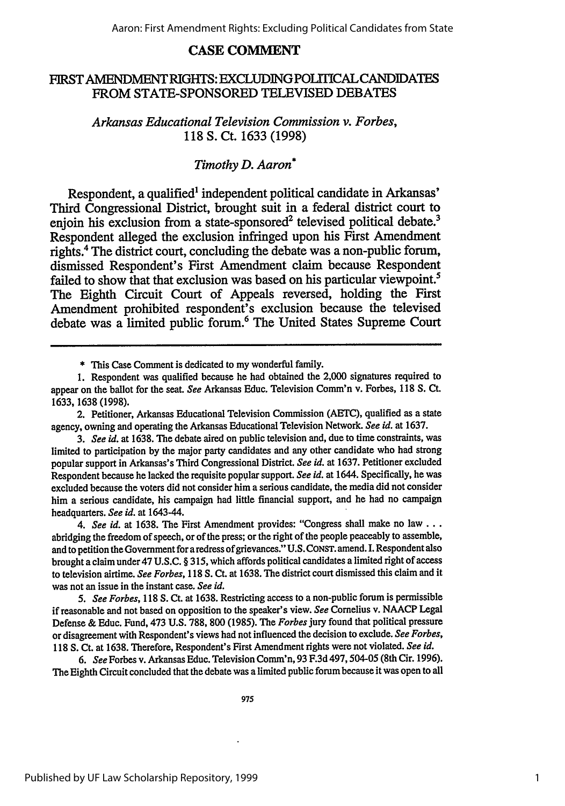## **CASE COMMENT**

## **FIRST AMENDMENT** RIGHTS: EXCLUDING **POLITICAL** CANDIDATES FROM **STATE-SPONSORED TELEVISED DEBATES**

*Arkansas Educational Television Commission v. Forbes,* **118 S.** Ct. **1633 (1998)**

## *Timothy D. Aaron\**

Respondent, a qualified' independent political candidate in Arkansas' Third Congressional District, brought suit in a federal district court to enjoin his exclusion from a state-sponsored<sup>2</sup> televised political debate.<sup>3</sup> Respondent alleged the exclusion infringed upon his First Amendment rights.4 The district court, concluding the debate was a non-public forum, dismissed Respondent's First Amendment claim because Respondent failed to show that that exclusion was based on his particular viewpoint.<sup>5</sup> The Eighth Circuit Court of Appeals reversed, holding the First Amendment prohibited respondent's exclusion because the televised debate was a limited public forum.6 The United States Supreme Court

\* This Case Comment is dedicated to my wonderful family.

*4. See id.* at 1638. The First Amendment provides: "Congress shall make no law... abridging the freedom of speech, or of the press; or the right of the people peaceably to assemble, and to petition the Government for a redress of grievances." U.S. CONST. amend. I. Respondent also brought a claim under 47 U.S.C. § 315, which affords political candidates a limited right of access to television airtime. *See Forbes,* 118 **S.** Ct. at 1638. The district court dismissed this claim and it was not an issue in the instant case. *See id.*

*5. See Forbes,* 118 **S.** Ct. at 1638. Restricting access to a non-public forum is permissible if reasonable and not based on opposition to the speaker's view. *See* Cornelius v. NAACP Legal Defense & Educ. Fund, 473 U.S. 788, 800 (1985). The *Forbes* jury found that political pressure or disagreement with Respondent's views had not influenced the decision to exclude. *See Forbes,* **118 S.** Ct. at 1638. Therefore, Respondent's First Amendment rights were not violated. *See id.*

*6. See* Forbes v. Arkansas Educ. Television Comm'n, 93 F.3d 497,504-05 (8th Cir. 1996). The Eighth Circuit concluded that the debate was a limited public forum because it was open to all

<sup>1.</sup> Respondent was qualified because he had obtained the 2,000 signatures required to appear on the ballot for the seat. *See* Arkansas Educ. Television Comm'n v. Forbes, 118 S. **Ct.** 1633, 1638 (1998).

<sup>2.</sup> Petitioner, Arkansas Educational Television Commission (AETC), qualified as a state agency, owning and operating the Arkansas Educational Television Network. *See id.* at 1637.

*<sup>3.</sup> See id.* at 1638. The debate aired on public television and, due to time constraints, was limited to participation by the major party candidates and any other candidate who had strong popular support in Arkansas's Third Congressional District. *See id.* at 1637. Petitioner excluded Respondent because he lacked the requisite popular support. *See id.* at 1644. Specifically, he was excluded because the voters did not consider him a serious candidate, the media did not consider him a serious candidate, his campaign had little financial support, and he had no campaign headquarters. *See id.* at 1643-44.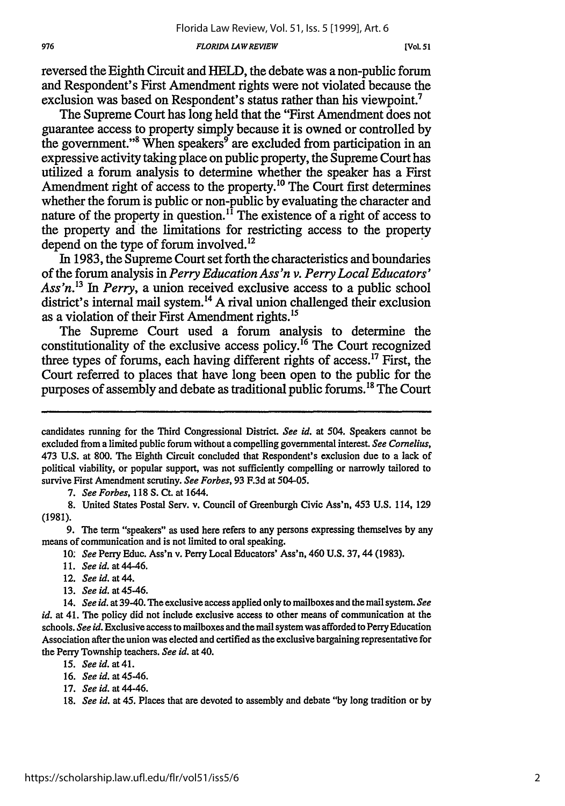*FLORIDA LAWREVIEW*

reversed the Eighth Circuit and HELD, the debate was a non-public forum and Respondent's First Amendment rights were not violated because the exclusion was based on Respondent's status rather than his viewpoint.7

The Supreme Court has long held that the "First Amendment does not guarantee access to property simply because it is owned or controlled by the government."<sup>8</sup> When speakers<sup>9</sup> are excluded from participation in an expressive activity taking place on public property, the Supreme Court has utilized a forum analysis to determine whether the speaker has a First Amendment right of access to the property.<sup>10</sup> The Court first determines whether the forum is public or non-public by evaluating the character and nature of the property in question.<sup>11</sup> The existence of a right of access to the property and the limitations for restricting access to the property depend on the type of forum involved.<sup>12</sup>

In 1983, the Supreme Court set forth the characteristics and boundaries of the forum analysis in *Perry Education Ass'n v. Perry Local Educators' Ass'n. 3 In Perry,* a union received exclusive access to a public school district's internal mail system.<sup>14</sup> A rival union challenged their exclusion as a violation of their First Amendment rights.<sup>15</sup>

The Supreme Court used a forum analysis to determine the constitutionality of the exclusive access policy.<sup>16</sup> The Court recognized three types of forums, each having different rights of access.<sup>17</sup> First, the Court referred to places that have long been open to the public for the purposes of assembly and debate as traditional public forums.<sup>18</sup> The Court

*7. See Forbes,* 118 **S.** Ct. at 1644.

8. United States Postal Serv. v. Council of Greenburgh Civic Ass'n, 453 U.S. 114, **129** (1981).

9. The term "speakers" as used here refers to any persons expressing themselves by any means of communication and is not limited to oral speaking.

10: *See* Perry Educ. Ass'n v. Perry Local Educators' Ass'n, 460 U.S. 37,44 (1983).

- 11. *See id. at 44-46.*
- 12. *See id.* at 44.
- *13. See id.* at 45-46.

14. *See id.* at 39-40. The exclusive access applied only to mailboxes and the mail system. *See id.* at 41. The policy did not include exclusive access to other means of communication at the schools. *See id.* Exclusive access to mailboxes and the mail system was afforded to Perry Education Association after the union was elected and certified as the exclusive bargaining representative for the Perry Township teachers. *See id.* at 40.

- 15. *Seeid. at41.*
- 16. *See id.* at 45-46.
- 17. *See id.* at 44-46.

candidates running for the Third Congressional District. *See id.* at 504. Speakers cannot be excluded from a limited public forum without a compelling governmental interest. *See Cornelius,* 473 U.S. at 800. The Eighth Circuit concluded that Respondent's exclusion due to a lack of political viability, or popular support, was not sufficiently compelling or narrowly tailored to survive First Amendment scrutiny. *See Forbes,* **93** F.3d at 504-05.

*<sup>18.</sup> See id.* at 45. Places that are devoted to assembly and debate "by long tradition or by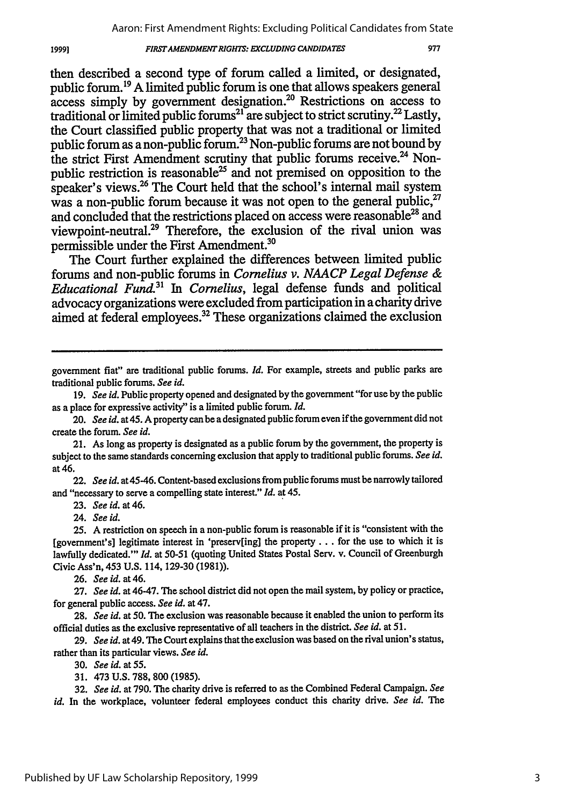#### **FIRST AMENDMENT RIGHTS: EXCLUDING CANDIDATES**

977

then described a second type of forum called a limited, or designated, public forum.19 A limited public forum is one that allows speakers general access simply by government designation.20 Restrictions on access to traditional or limited public forums $^{21}$  are subject to strict scrutiny. $^{22}$  Lastly, the Court classified public property that was not a traditional or limited public forum as a non-public forum.23 Non-public forums are not bound **by** the strict First Amendment scrutiny that public forums receive.<sup>24</sup> Nonpublic restriction is reasonable<sup>25</sup> and not premised on opposition to the speaker's views.<sup>26</sup> The Court held that the school's internal mail system was a non-public forum because it was not open to the general public.<sup>27</sup> and concluded that the restrictions placed on access were reasonable<sup>28</sup> and viewpoint-neutral.29 Therefore, the exclusion of the rival union was permissible under the First Amendment.30

The Court further explained the differences between limited public forums and non-public forums in *Cornelius v. NAACP Legal Defense & Educational Fund." In Cornelius,* legal defense funds and political advocacy organizations were excluded from participation in a charity drive aimed at federal employees.<sup>32</sup> These organizations claimed the exclusion

22. *See id.* at 45-46. Content-based exclusions from public forums must be narrowly tailored and "necessary to serve a compelling state interest." *Id.* at 45.

23. *See id.* at 46.

24. *See id.*

19991

25. A restriction on speech in a non-public forum is reasonable if it is "consistent with the [government's] legitimate interest in 'preserv[ing] the property **...** for the use to which it is lawfully dedicated."' *Id.* at **50-51** (quoting United States Postal Serv. v. Council of Greenburgh Civic Ass'n, 453 U.S. 114, 129-30 (1981)).

**26.** *See id.* at 46.

**27.** *See id.* at 46-47. The school district did not open the mail system, by policy or practice, for general public access. *See id.* at 47.

**28.** *See id.* at **50.** The exclusion was reasonable because it enabled the union to perform its official duties as the exclusive representative of all teachers in the district. *See id.* at 51.

**29.** *See id.* at 49. The Court explains that the exclusion was based on the rival union's status, rather than its particular views. *See id.*

30. *See id.* at **55.**

31. 473 U.S. 788, 800 (1985).

**32.** *See id.* at 790. The charity drive is referred to as the Combined Federal Campaign. *See id.* In the workplace, volunteer federal employees conduct this charity drive. *See id. The*

government fiat" are traditional public forums. *Id.* For example, streets and public parks are traditional public forums. *See id.*

<sup>19.</sup> *See id.* Public property opened and designated by the government "for use by the public as a place for expressive activity" is a limited public forum. *Id.*

<sup>20.</sup> *See id.* at 45. A property can be a designated public forum even if the government did not create the forum. *See id.*

<sup>21.</sup> As long as property is designated as a public forum by the government, the property is subject to the same standards concerning exclusion that apply to traditional public forums. *See id.* at 46.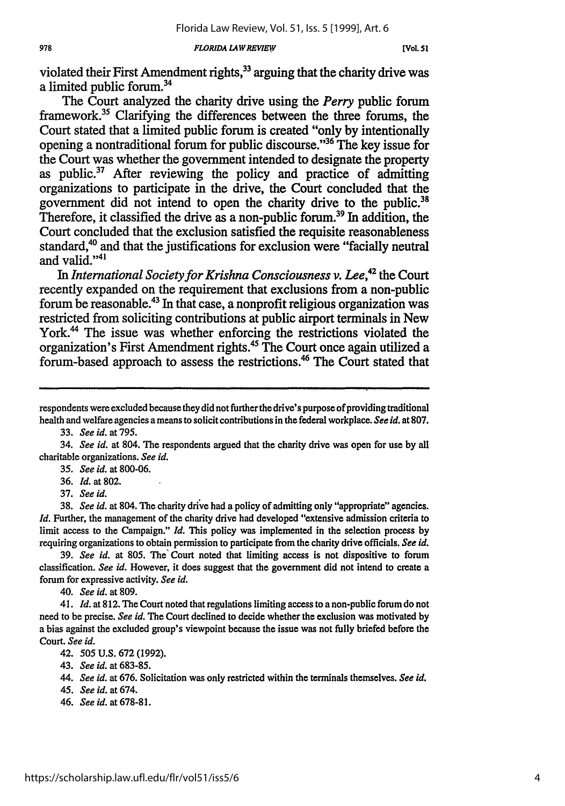*FLORIDA LAW REVIEW*

violated their First Amendment rights,<sup>33</sup> arguing that the charity drive was a limited public forum.34

The Court analyzed the charity drive using the *Perry* public forum framework.<sup>35</sup> Clarifying the differences between the three forums, the Court stated that a limited public forum is created "only **by** intentionally opening a nontraditional forum for public discourse."36 The key issue for the Court was whether the government intended to designate the property as public.<sup>37</sup> After reviewing the policy and practice of admitting organizations **to** participate in the drive, the Court concluded that the government did not intend to open the charity drive to the public.<sup>31</sup> Therefore, it classified the drive as a non-public forum.<sup>39</sup> In addition, the Court concluded that the exclusion satisfied the requisite reasonableness standard, $40$  and that the justifications for exclusion were "facially neutral and valid."<sup>41</sup>

*In International Society for Krishna Consciousness v. Lee,42* the Court recently expanded on the requirement that exclusions from a non-public forum be reasonable.43 In that case, a nonprofit religious organization was restricted from soliciting contributions at public airport terminals in New York.<sup>44</sup> The issue was whether enforcing the restrictions violated the organization's First Amendment rights.<sup>45</sup> The Court once again utilized a forum-based approach to assess the restrictions.<sup>46</sup> The Court stated that

33. *See id.* at 795.

34. *See id.* at 804. The respondents argued that the charity drive was open for use **by** all charitable organizations. *See id.*

*35. See id.* at 800-06.

36. *Id.* at 802.

37. *See id.*

**38.** *See id.* at 804. The charity drive had a policy of admitting only "appropriate" agencies. *Id.* Further, the management of the charity drive had developed "extensive admission criteria to limit access to the Campaign." *Id.* This policy was implemented in the selection process **by** requiring organizations to obtain permission to participate from the charity drive officials. *See id.*

39. *See id.* at 805. The Court noted that limiting access is not dispositive to forum classification. *See id.* However, it does suggest that the government did not intend to create a forum for expressive activity. *See id.*

40. *See id.* at 809.

41. *Id.* at 812. The Court noted that regulations limiting access to a non-public forum do not need to be precise. *See id.* The Court declined to decide whether the exclusion was motivated **by** a bias against the excluded group's viewpoint because the issue was not **fully** briefed before the Court. *See id.*

42. 505 U.S. 672 (1992).

43. *See id.* at 683-85.

*44. See id.* at **676.** Solicitation was only restricted within the terminals themselves. *See id.*

45. *See id.* at 674.

46. *See id.* at 678-81.

respondents were excluded because they did not further the drive's purpose of providing traditional health and welfare agencies a means to solicit contributions in the federal workplace. *See id.* at 807.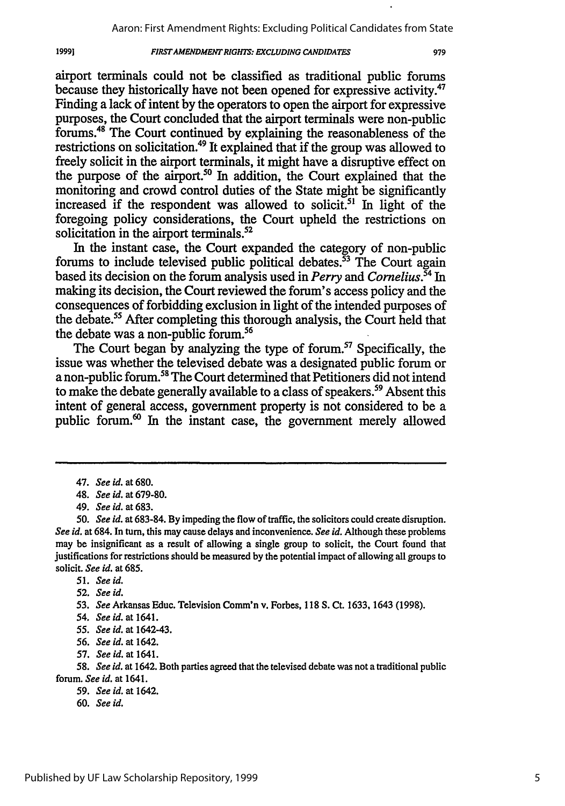#### **FIRSTAMENDMENT RIGHTS: EXCLUDING** *CANDIDATES*

airport terminals could not be classified as traditional public forums because they historically have not been opened for expressive activity.<sup>47</sup> Finding a lack of intent by the operators to open the airport for expressive purposes, the Court concluded that the airport terminals were non-public forums.<sup>48</sup> The Court continued by explaining the reasonableness of the restrictions on solicitation.<sup>49</sup> It explained that if the group was allowed to freely solicit in the airport terminals, it might have a disruptive effect on the purpose of the airport.<sup>50</sup> In addition, the Court explained that the monitoring and crowd control duties of the State might be significantly increased if the respondent was allowed to solicit.<sup>51</sup> In light of the foregoing policy considerations, the Court upheld the restrictions on solicitation in the airport terminals.<sup>52</sup>

In the instant case, the Court expanded the category of non-public forums to include televised public political debates. $\frac{53}{3}$  The Court again based its decision on the forum analysis used in *Perry and Cornelius.54 In* making its decision, the Court reviewed the forum's access policy and the consequences of forbidding exclusion in light of the intended purposes of the debate.<sup>55</sup> After completing this thorough analysis, the Court held that the debate was a non-public forum.<sup>56</sup>

The Court began by analyzing the type of forum.<sup>57</sup> Specifically, the issue was whether the televised debate was a designated public forum or a non-public forum.<sup>58</sup> The Court determined that Petitioners did not intend to make the debate generally available to a class of speakers.<sup>59</sup> Absent this intent of general access, government property is not considered to be a public forum. $\omega$  In the instant case, the government merely allowed

19991

- *59. See id.* at 1642.
- 60. *See id.*

<sup>47.</sup> *See id.* at 680.

<sup>48.</sup> *See id.* at 679-80.

<sup>49.</sup> *See id. at* 683.

<sup>50.</sup> *See id.* at 683-84. By impeding the flow of traffic, the solicitors could create disruption. *See id.* at 684. In turn, this may cause delays and inconvenience. *See id.* Although these problems may be insignificant as a result of allowing a single group to solicit, the Court found that justifications for restrictions should be measured by the potential impact of allowing all groups to solicit. *See id.* at 685.

<sup>51.</sup> *See id.*

**<sup>52.</sup>** *See id.*

<sup>53.</sup> *See* Arkansas Educ. Television Comm'n v. Forbes, 118 **S.** Ct. 1633, 1643 (1998).

<sup>54.</sup> *See id.* at 1641.

*<sup>55.</sup> See id.* at 1642-43.

<sup>56.</sup> *See id.* at 1642.

<sup>57.</sup> *See id.* at 1641.

<sup>58.</sup> *See id.* at 1642. Both parties agreed that the televised debate was not a traditional public forum. *See id.* at 1641.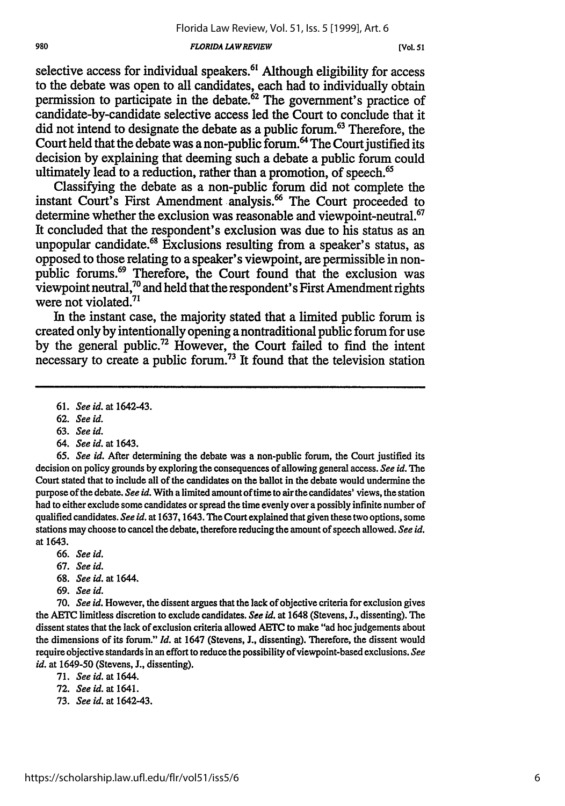#### *FLORIDA LAW REVIEW*

selective access for individual speakers.<sup>61</sup> Although eligibility for access to the debate was open to all candidates, each had to individually obtain permission to participate in the debate. $62$  The government's practice of candidate-by-candidate selective access led the Court to conclude that it did not intend to designate the debate as a public forum.<sup>63</sup> Therefore, the Court held that the debate was a non-public forum.<sup>64</sup> The Court justified its decision **by** explaining that deeming such a debate a public forum could ultimately lead to a reduction, rather than a promotion, of speech.<sup>65</sup>

Classifying the debate as a non-public forum did not complete the instant Court's First Amendment analysis. 66 The Court proceeded to determine whether the exclusion was reasonable and viewpoint-neutral.<sup>67</sup> It concluded that the respondent's exclusion was due to his status as an unpopular candidate.<sup>68</sup> Exclusions resulting from a speaker's status, as opposed to those relating to a speaker's viewpoint, are permissible in nonpublic forums.<sup>69</sup> Therefore, the Court found that the exclusion was  $\tilde{\textbf{v}}$ iewpoint neutral,<sup>70</sup> and held that the respondent's First Amendment rights were not violated.<sup>71</sup>

In the instant case, the majority stated that a limited public forum is created only **by** intentionally opening a nontraditional public forum for use **by** the general public.72 However, the Court failed to find the intent necessary to create a public forum.73 It found that the television station

*64. See id. at* 1643.

*65. See id.* After determining the debate was a non-public forum, the Court justified its decision on policy grounds **by** exploring the consequences of allowing general access. *See id. The* Court stated that to include all of the candidates on the ballot in the debate would undermine the purpose of the debate. *See id.* With a limited amount of time to air the candidates' views, the station had to either exclude some candidates or spread the time evenly over a possibly infinite number of qualified candidates. *See id.* at 1637, 1643. The Court explained that given these two options, some stations may choose to cancel the debate, therefore reducing the amount of speech allowed. *See id.* at 1643.

- 66. *See id.*
- 67. *See id.*
- 68. *See id.* at 1644.
- 69. *See id.*

**70.** *See id.* However, the dissent argues that the lack of objective criteria for exclusion gives the AETC limitless discretion to exclude candidates. *See id.* at 1648 (Stevens, **J.,** dissenting). The dissent states that the lack of exclusion criteria allowed AETC to make "ad hoc judgements about the dimensions of its forum." *Id.* at 1647 (Stevens, **J.,** dissenting). Therefore, the dissent would require objective standards in an effort to reduce the possibility of viewpoint-based exclusions. *See id.* at 1649-50 (Stevens, **J.,** dissenting).

- **72.** *See id.* at 1641.
- **73.** *See id.* at 1642-43.

<sup>61.</sup> *See id.* at 1642-43.

<sup>62.</sup> *See id.*

<sup>63.</sup> *See id.*

<sup>71.</sup> *See id.* at 1644.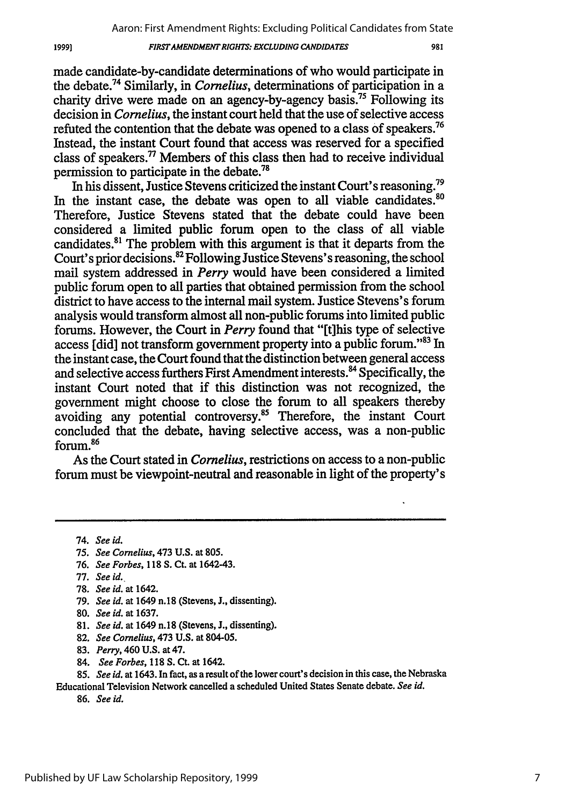#### *FIRSTAMENDMENT RIGHTS: EXCLUDING CANDIDATES*

981

made candidate-by-candidate determinations of who would participate in the debate.74 Similarly, in *Cornelius,* determinations of participation in a charity drive were made on an agency-by-agency basis.<sup>75</sup> Following its decision in *Cornelius,* the instant court held that the use of selective access refuted the contention that the debate was opened to a class of speakers.<sup>76</sup> Instead, the instant Court found that access was reserved for a specified class of speakers.<sup>77</sup> Members of this class then had to receive individual permission to participate in the debate.<sup>78</sup>

In his dissent, Justice Stevens criticized the instant Court's reasoning.79 In the instant case, the debate was open to all viable candidates.<sup>80</sup> Therefore, Justice Stevens stated that the debate could have been considered a limited public forum open to the class of all viable candidates.81 The problem with this argument is that it departs from the Court's prior decisions.<sup>82</sup> Following Justice Stevens's reasoning, the school mail system addressed in *Perry* would have been considered a limited public forum open to all parties that obtained permission from the school district to have access to the internal mail system. Justice Stevens's forum analysis would transform almost all non-public forums into limited public forums. However, the Court in *Perry* found that "[t]his type of selective access *[did]* not transform government property into a public forum."<sup>83</sup> In the instant case, the Court found that the distinction between general access and selective access furthers First Amendment interests.<sup>84</sup> Specifically, the instant Court noted that if this distinction was not recognized, the government might choose to close the forum to all speakers thereby avoiding any potential controversy.<sup>85</sup> Therefore, the instant Court concluded that the debate, having selective access, was a non-public forum.<sup>86</sup>

As the Court stated in *Cornelius,* restrictions on access to a non-public forum must be viewpoint-neutral and reasonable in light of the property's

- 75. *See Cornelius,* 473 U.S. at 805.
- 76. *See Forbes,* 118 **S.** Ct. at 1642-43.
- 77. *See id.*
- 78. *See id.* at 1642.
- 79. *See id.* at 1649 n.18 (Stevens, J., dissenting).
- 80. *See id.* at 1637.
- 81. *See id.* at 1649 n.18 (Stevens, J., dissenting).
- 82. *See Cornelius,* 473 U.S. at 804-05.
- 83. *Perry,* 460 U.S. at 47.
- 84. *See Forbes,* 118 **S.** Ct. at 1642.

85. *See id.* at 1643. In fact, as a result of the lower court's decision in this case, the Nebraska Educational Television Network cancelled a scheduled United States Senate debate. *See id.*

86. *See id.*

19991

<sup>74.</sup> *See id.*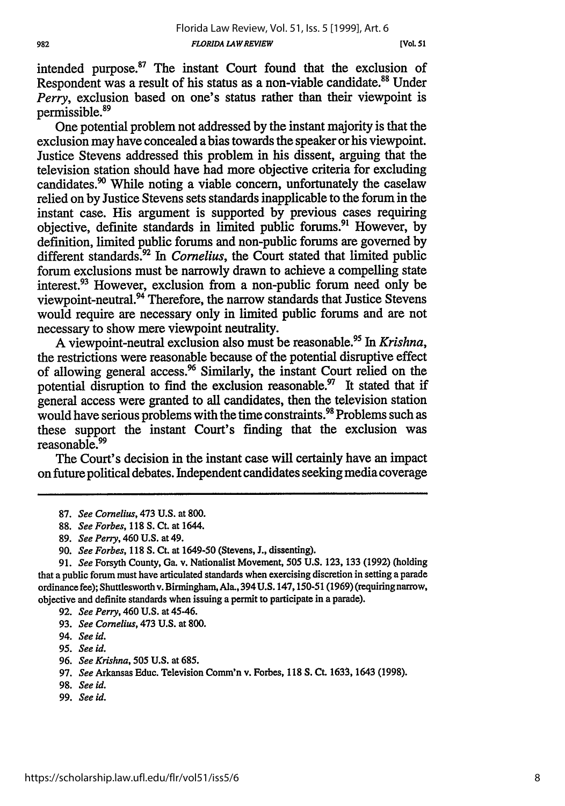intended purpose. $87$  The instant Court found that the exclusion of Respondent was a result of his status as a non-viable candidate.<sup>88</sup> Under *Perry,* exclusion based on one's status rather than their viewpoint is permissible.<sup>89</sup>

One potential problem not addressed by the instant majority is that the exclusion may have concealed a bias towards the speaker or his viewpoint. Justice Stevens addressed this problem in his dissent, arguing that the television station should have had more objective criteria for excluding candidates.<sup>90</sup> While noting a viable concern, unfortunately the caselaw relied on by Justice Stevens sets standards inapplicable to the forum in the instant case. His argument is supported by previous cases requiring objective, definite standards in limited public forums.<sup>91</sup> However, by definition, limited public forums and non-public forums are governed by different standards.<sup>32</sup> In *Cornelius*, the Court stated that limited public forum exclusions must be narrowly drawn to achieve a compelling state interest.93 However, exclusion from a non-public forum need only be viewpoint-neutral.94 Therefore, the narrow standards that Justice Stevens would require are necessary only in limited public forums and are not necessary to show mere viewpoint neutrality.

A viewpoint-neutral exclusion also must be reasonable.95 In *Krishna,* the restrictions were reasonable because of the potential disruptive effect of allowing general access.<sup>96</sup> Similarly, the instant Court relied on the potential disruption to find the exclusion reasonable.<sup>97</sup> It stated that if general access were granted to all candidates, then the television station would have serious problems with the time constraints.<sup>98</sup> Problems such as these support the instant Court's finding that the exclusion was reasonable.<sup>99</sup>

The Court's decision in the instant case will certainly have an impact on future political debates. Independent candidates seeking media coverage

89. *See Perry,* 460 U.S. at 49.

- **95.** *See id.*
- 96. *See Krishna,* 505 U.S. at 685.
- **97.** *See* Arkansas Educ. Television Comm'n v. Forbes, **118 S. Ct. 1633,** 1643 **(1998).**
- 98. *See id.*
- 99. *See id.*

<sup>87.</sup> *See Cornelius,* 473 U.S. at 800.

<sup>88.</sup> *See Forbes,* 118 **S. Ct.** at 1644.

<sup>90.</sup> *See Forbes,* 118 **S. Ct.** at 1649-50 (Stevens, J., dissenting).

**<sup>91.</sup>** *See* Forsyth County, Ga. v. Nationalist Movement, **505 U.S. 123, 133 (1992)** (holding that a public forum must have articulated standards when exercising discretion in setting a parade ordinance fee); Shuttlesworth v. Birmingham, Ala., 394 **U.S.** 147,150-51 (1969) (requiring narrow, objective and definite standards when issuing a permit to participate in a parade).

<sup>92.</sup> *See Perry,* 460 U.S. at 45-46.

<sup>93.</sup> *See Cornelius,* 473 **U.S.** at 800.

<sup>94.</sup> *See id.*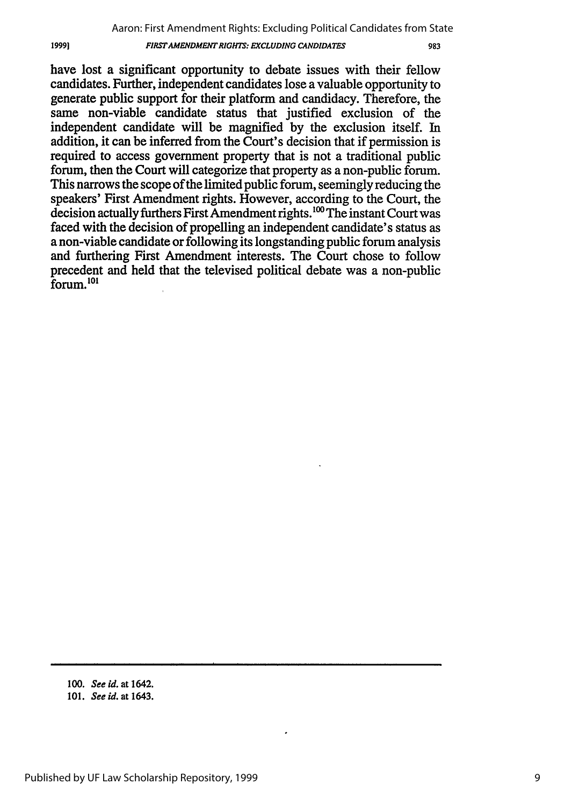have lost a significant opportunity to debate issues with their fellow candidates. Further, independent candidates lose a valuable opportunity to generate public support for their platform and candidacy. Therefore, the same non-viable candidate status that justified exclusion of the independent candidate will be magnified by the exclusion itself. In addition, it can be inferred from the Court's decision that if permission is required to access government property that is not a traditional public forum, then the Court will categorize that property as a non-public forum. This narrows the scope of the limited public forum, seemingly reducing the speakers' First Amendment rights. However, according to the Court, the decision actually furthers First Amendment rights.<sup>100</sup> The instant Court was faced with the decision of propelling an independent candidate's status as a non-viable candidate or following its longstanding public forum analysis and furthering First Amendment interests. The Court chose to follow precedent and held that the televised political debate was a non-public forum.10

19991

**<sup>100.</sup>** See id. at 1642.

**<sup>101.</sup>** See id. at 1643.